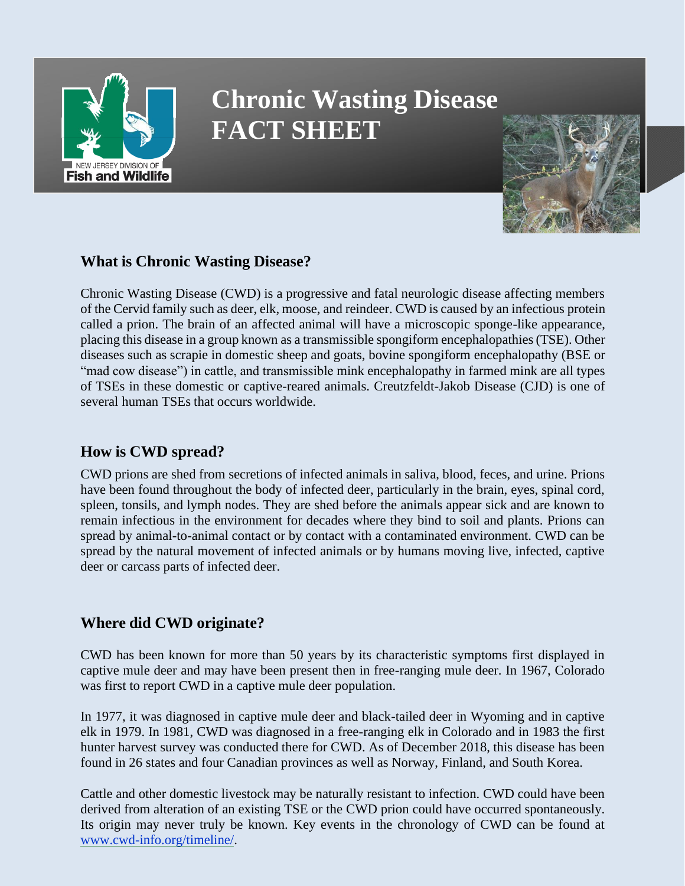

# **Chronic Wasting Disease FACT SHEET**



# **What is Chronic Wasting Disease?**

Chronic Wasting Disease (CWD) is a progressive and fatal neurologic disease affecting members of the Cervid family such as deer, elk, moose, and reindeer. CWD is caused by an infectious protein called a prion. The brain of an affected animal will have a microscopic sponge-like appearance, placing this disease in a group known as a transmissible spongiform encephalopathies(TSE). Other diseases such as scrapie in domestic sheep and goats, bovine spongiform encephalopathy (BSE or "mad cow disease") in cattle, and transmissible mink encephalopathy in farmed mink are all types of TSEs in these domestic or captive-reared animals. Creutzfeldt-Jakob Disease (CJD) is one of several human TSEs that occurs worldwide.

## **How is CWD spread?**

CWD prions are shed from secretions of infected animals in saliva, blood, feces, and urine. Prions have been found throughout the body of infected deer, particularly in the brain, eyes, spinal cord, spleen, tonsils, and lymph nodes. They are shed before the animals appear sick and are known to remain infectious in the environment for decades where they bind to soil and plants. Prions can spread by animal-to-animal contact or by contact with a contaminated environment. CWD can be spread by the natural movement of infected animals or by humans moving live, infected, captive deer or carcass parts of infected deer.

# **Where did CWD originate?**

CWD has been known for more than 50 years by its characteristic symptoms first displayed in captive mule deer and may have been present then in free-ranging mule deer. In 1967, Colorado was first to report CWD in a captive mule deer population.

In 1977, it was diagnosed in captive mule deer and black-tailed deer in Wyoming and in captive elk in 1979. In 1981, CWD was diagnosed in a free-ranging elk in Colorado and in 1983 the first hunter harvest survey was conducted there for CWD. As of December 2018, this disease has been found in 26 states and four Canadian provinces as well as Norway, Finland, and South Korea.

Cattle and other domestic livestock may be naturally resistant to infection. CWD could have been derived from alteration of an existing TSE or the CWD prion could have occurred spontaneously. Its origin may never truly be known. Key events in the chronology of CWD can be found at [www.cwd-info.org/timeline/.](http://www.cwd-info.org/timeline/)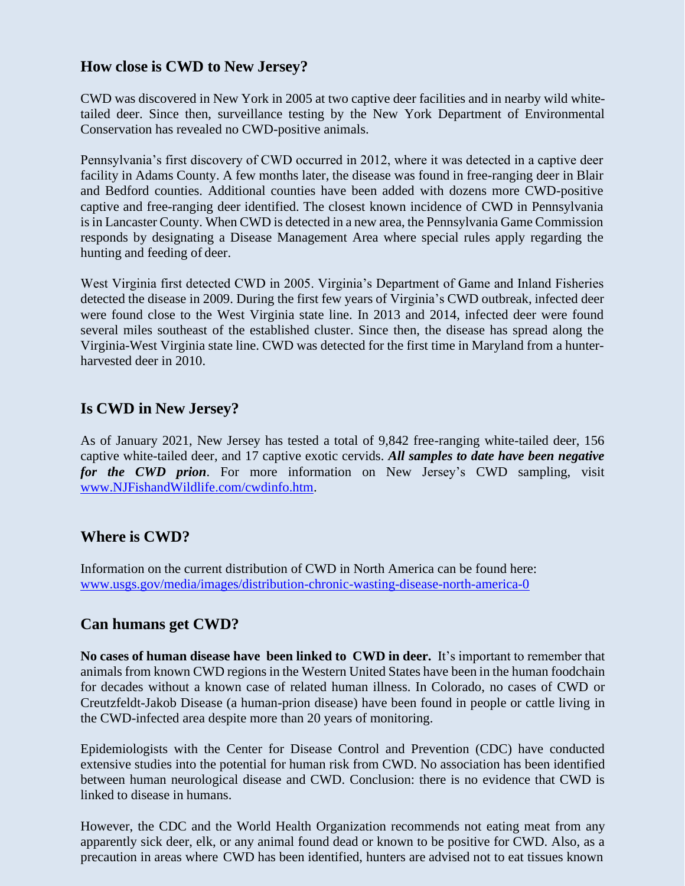# **How close is CWD to New Jersey?**

CWD was discovered in New York in 2005 at two captive deer facilities and in nearby wild whitetailed deer. Since then, surveillance testing by the New York Department of Environmental Conservation has revealed no CWD-positive animals.

Pennsylvania's first discovery of CWD occurred in 2012, where it was detected in a captive deer facility in Adams County. A few months later, the disease was found in free-ranging deer in Blair and Bedford counties. Additional counties have been added with dozens more CWD-positive captive and free-ranging deer identified. The closest known incidence of CWD in Pennsylvania is in Lancaster County. When CWD is detected in a new area, the Pennsylvania Game Commission responds by designating a Disease Management Area where special rules apply regarding the hunting and feeding of deer.

West Virginia first detected CWD in 2005. Virginia's Department of Game and Inland Fisheries detected the disease in 2009. During the first few years of Virginia's CWD outbreak, infected deer were found close to the West Virginia state line. In 2013 and 2014, infected deer were found several miles southeast of the established cluster. Since then, the disease has spread along the Virginia-West Virginia state line. CWD was detected for the first time in Maryland from a hunterharvested deer in 2010.

## **Is CWD in New Jersey?**

As of January 2021, New Jersey has tested a total of 9,842 free-ranging white-tailed deer, 156 captive white-tailed deer, and 17 captive exotic cervids. *All samples to date have been negative for the CWD prion*. For more information on New Jersey's CWD sampling, visit [www.NJFishandWildlife.com/cwdinfo.htm.](http://www.njfishandwildlife.com/cwdinfo.htm)

# **Where is CWD?**

Information on the current distribution of CWD in North America can be found here: [www.usgs.gov/media/images/distribution-chronic-wasting-disease-north-america-0](https://www.usgs.gov/media/images/distribution-chronic-wasting-disease-north-america-0)

### **Can humans get CWD?**

**No cases of human disease have been linked to CWD in deer.** It's important to remember that animals from known CWD regions in the Western United States have been in the human foodchain for decades without a known case of related human illness. In Colorado, no cases of CWD or Creutzfeldt-Jakob Disease (a human-prion disease) have been found in people or cattle living in the CWD-infected area despite more than 20 years of monitoring.

Epidemiologists with the Center for Disease Control and Prevention (CDC) have conducted extensive studies into the potential for human risk from CWD. No association has been identified between human neurological disease and CWD. Conclusion: there is no evidence that CWD is linked to disease in humans.

However, the CDC and the World Health Organization recommends not eating meat from any apparently sick deer, elk, or any animal found dead or known to be positive for CWD. Also, as a precaution in areas where CWD has been identified, hunters are advised not to eat tissues known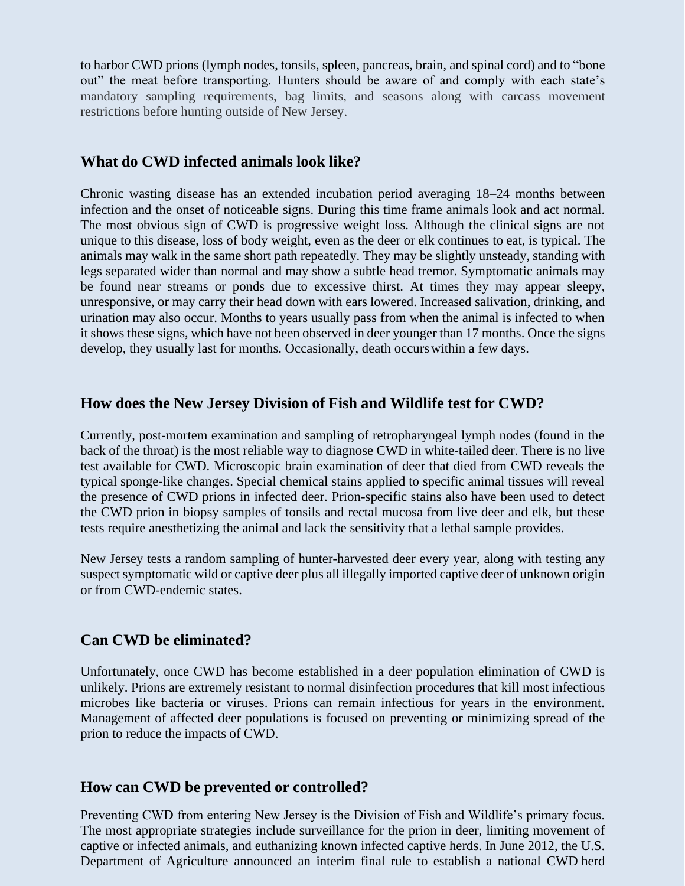to harbor CWD prions (lymph nodes, tonsils, spleen, pancreas, brain, and spinal cord) and to "bone out" the meat before transporting. Hunters should be aware of and comply with each state's mandatory sampling requirements, bag limits, and seasons along with carcass movement restrictions before hunting outside of New Jersey.

#### **What do CWD infected animals look like?**

Chronic wasting disease has an extended incubation period averaging 18–24 months between infection and the onset of noticeable signs. During this time frame animals look and act normal. The most obvious sign of CWD is progressive weight loss. Although the clinical signs are not unique to this disease, loss of body weight, even as the deer or elk continues to eat, is typical. The animals may walk in the same short path repeatedly. They may be slightly unsteady, standing with legs separated wider than normal and may show a subtle head tremor. Symptomatic animals may be found near streams or ponds due to excessive thirst. At times they may appear sleepy, unresponsive, or may carry their head down with ears lowered. Increased salivation, drinking, and urination may also occur. Months to years usually pass from when the animal is infected to when it shows these signs, which have not been observed in deer younger than 17 months. Once the signs develop, they usually last for months. Occasionally, death occurswithin a few days.

#### **How does the New Jersey Division of Fish and Wildlife test for CWD?**

Currently, post-mortem examination and sampling of retropharyngeal lymph nodes (found in the back of the throat) is the most reliable way to diagnose CWD in white-tailed deer. There is no live test available for CWD. Microscopic brain examination of deer that died from CWD reveals the typical sponge-like changes. Special chemical stains applied to specific animal tissues will reveal the presence of CWD prions in infected deer. Prion-specific stains also have been used to detect the CWD prion in biopsy samples of tonsils and rectal mucosa from live deer and elk, but these tests require anesthetizing the animal and lack the sensitivity that a lethal sample provides.

New Jersey tests a random sampling of hunter-harvested deer every year, along with testing any suspect symptomatic wild or captive deer plus all illegally imported captive deer of unknown origin or from CWD-endemic states.

### **Can CWD be eliminated?**

Unfortunately, once CWD has become established in a deer population elimination of CWD is unlikely. Prions are extremely resistant to normal disinfection procedures that kill most infectious microbes like bacteria or viruses. Prions can remain infectious for years in the environment. Management of affected deer populations is focused on preventing or minimizing spread of the prion to reduce the impacts of CWD.

#### **How can CWD be prevented or controlled?**

Preventing CWD from entering New Jersey is the Division of Fish and Wildlife's primary focus. The most appropriate strategies include surveillance for the prion in deer, limiting movement of captive or infected animals, and euthanizing known infected captive herds. In June 2012, the U.S. Department of Agriculture announced an interim final rule to establish a national CWD herd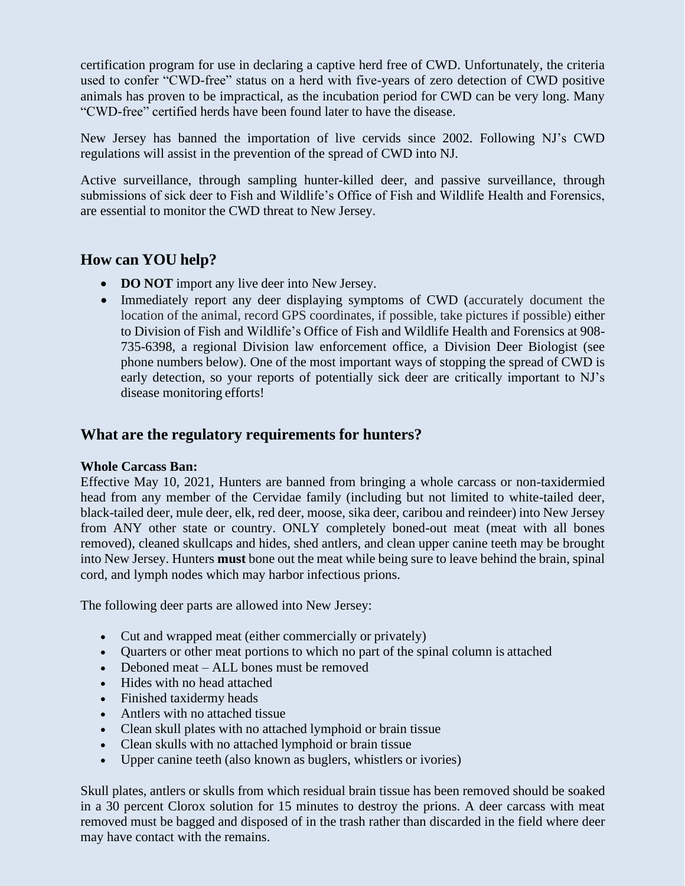certification program for use in declaring a captive herd free of CWD. Unfortunately, the criteria used to confer "CWD-free" status on a herd with five-years of zero detection of CWD positive animals has proven to be impractical, as the incubation period for CWD can be very long. Many "CWD-free" certified herds have been found later to have the disease.

New Jersey has banned the importation of live cervids since 2002. Following NJ's CWD regulations will assist in the prevention of the spread of CWD into NJ.

Active surveillance, through sampling hunter-killed deer, and passive surveillance, through submissions of sick deer to Fish and Wildlife's Office of Fish and Wildlife Health and Forensics, are essential to monitor the CWD threat to New Jersey.

# **How can YOU help?**

- **DO NOT** import any live deer into New Jersey.
- Immediately report any deer displaying symptoms of CWD (accurately document the location of the animal, record GPS coordinates, if possible, take pictures if possible) either to Division of Fish and Wildlife's Office of Fish and Wildlife Health and Forensics at 908- 735-6398, a regional Division law enforcement office, a Division Deer Biologist (see phone numbers below). One of the most important ways of stopping the spread of CWD is early detection, so your reports of potentially sick deer are critically important to NJ's disease monitoring efforts!

# **What are the regulatory requirements for hunters?**

#### **Whole Carcass Ban:**

Effective May 10, 2021, Hunters are banned from bringing a whole carcass or non-taxidermied head from any member of the Cervidae family (including but not limited to white-tailed deer, black-tailed deer, mule deer, elk, red deer, moose, sika deer, caribou and reindeer) into New Jersey from ANY other state or country. ONLY completely boned-out meat (meat with all bones removed), cleaned skullcaps and hides, shed antlers, and clean upper canine teeth may be brought into New Jersey. Hunters **must** bone out the meat while being sure to leave behind the brain, spinal cord, and lymph nodes which may harbor infectious prions.

The following deer parts are allowed into New Jersey:

- Cut and wrapped meat (either commercially or privately)
- Quarters or other meat portions to which no part of the spinal column is attached
- Deboned meat ALL bones must be removed
- Hides with no head attached
- Finished taxidermy heads
- Antlers with no attached tissue
- Clean skull plates with no attached lymphoid or brain tissue
- Clean skulls with no attached lymphoid or brain tissue
- Upper canine teeth (also known as buglers, whistlers or ivories)

Skull plates, antlers or skulls from which residual brain tissue has been removed should be soaked in a 30 percent Clorox solution for 15 minutes to destroy the prions. A deer carcass with meat removed must be bagged and disposed of in the trash rather than discarded in the field where deer may have contact with the remains.